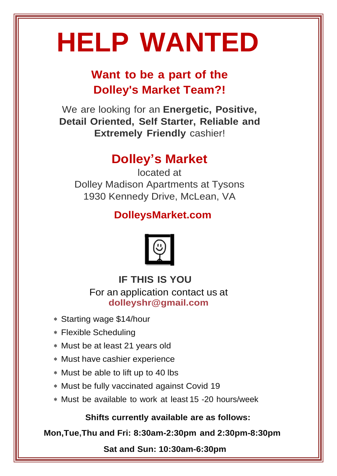# **HELP WANTED**

## **Want to be a part of the Dolley's Market Team?!**

We are looking for an **Energetic, Positive, Detail Oriented, Self Starter, Reliable and Extremely Friendly** cashier!

### **Dolley's Market**

located at Dolley Madison Apartments at Tysons 1930 Kennedy Drive, McLean, VA

#### **DolleysMarket.com**



**IF THIS IS YOU** For an application contact us at **[dolleyshr@gmail.com](mailto:dolleyshr@gmail.com)**

- Starting wage \$14/hour
- Flexible Scheduling
- Must be at least 21 years old
- Must have cashier experience
- Must be able to lift up to 40 lbs
- Must be fully vaccinated against Covid 19
- Must be available to work at least 15 -20 hours/week

**Shifts currently available are as follows:**

**Mon,Tue,Thu and Fri: 8:30am-2:30pm and 2:30pm-8:30pm**

**Sat and Sun: 10:30am-6:30pm**